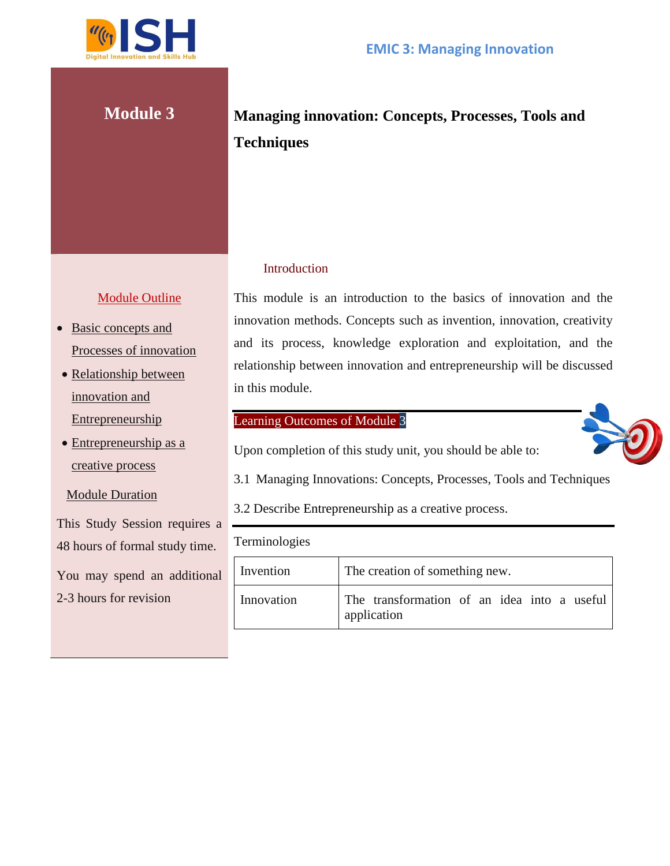

# **Module 3 Managing innovation: Concepts, Processes, Tools and Techniques**

#### **Introduction**

This module is an introduction to the basics of innovation and the innovation methods. Concepts such as invention, innovation, creativity and its process, knowledge exploration and exploitation, and the relationship between innovation and entrepreneurship will be discussed in this module.

### Learning Outcomes of Module 3

Upon completion of this study unit, you should be able to:

3.1 Managing Innovations: Concepts, Processes, Tools and Techniques

3.2 Describe Entrepreneurship as a creative process.

Terminologies

| Invention  | The creation of something new.                             |
|------------|------------------------------------------------------------|
| Innovation | The transformation of an idea into a useful<br>application |

#### Module Outline

- Basic concepts and Processes of innovation
- Relationship between innovation and **Entrepreneurship**
- Entrepreneurship as a creative process

Module Duration

This Study Session requires a 48 hours of formal study time.

You may spend an additional 2-3 hours for revision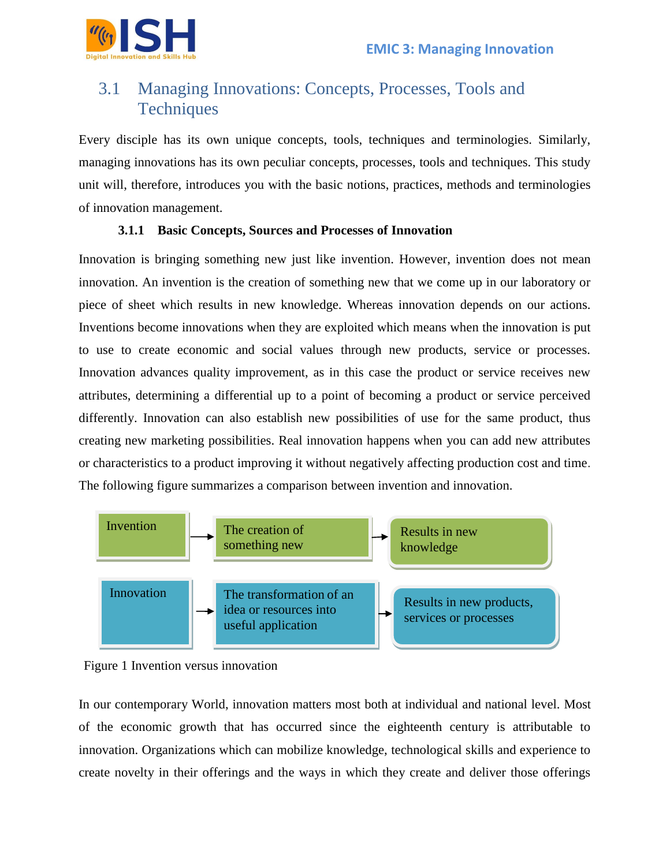

## 3.1 Managing Innovations: Concepts, Processes, Tools and **Techniques**

Every disciple has its own unique concepts, tools, techniques and terminologies. Similarly, managing innovations has its own peculiar concepts, processes, tools and techniques. This study unit will, therefore, introduces you with the basic notions, practices, methods and terminologies of innovation management.

#### **3.1.1 Basic Concepts, Sources and Processes of Innovation**

Innovation is bringing something new just like invention. However, invention does not mean innovation. An invention is the creation of something new that we come up in our laboratory or piece of sheet which results in new knowledge. Whereas innovation depends on our actions. Inventions become innovations when they are exploited which means when the innovation is put to use to create economic and social values through new products, service or processes. Innovation advances quality improvement, as in this case the product or service receives new attributes, determining a differential up to a point of becoming a product or service perceived differently. Innovation can also establish new possibilities of use for the same product, thus creating new marketing possibilities. Real innovation happens when you can add new attributes or characteristics to a product improving it without negatively affecting production cost and time. The following figure summarizes a comparison between invention and innovation.





In our contemporary World, innovation matters most both at individual and national level. Most of the economic growth that has occurred since the eighteenth century is attributable to innovation. Organizations which can mobilize knowledge, technological skills and experience to create novelty in their offerings and the ways in which they create and deliver those offerings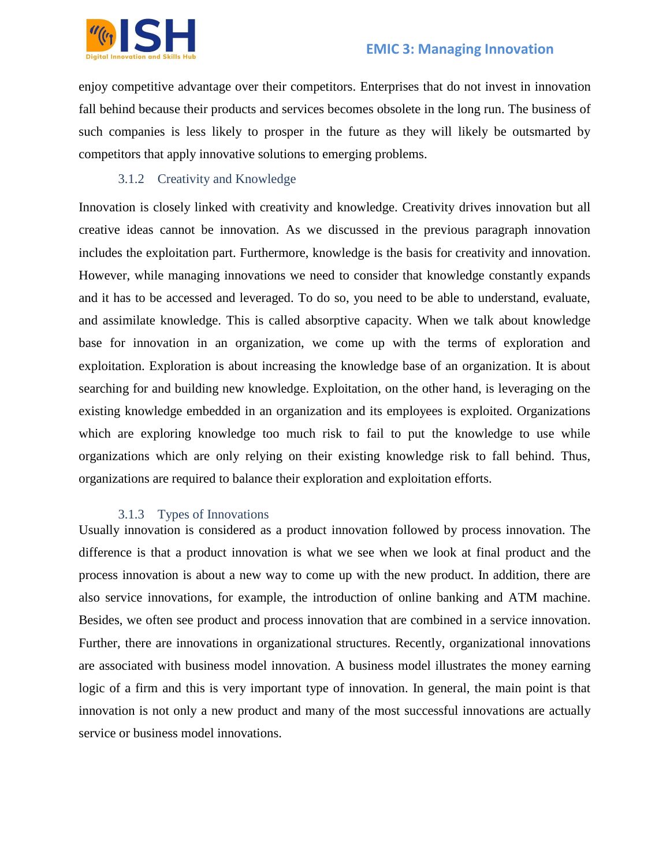

enjoy competitive advantage over their competitors. Enterprises that do not invest in innovation fall behind because their products and services becomes obsolete in the long run. The business of such companies is less likely to prosper in the future as they will likely be outsmarted by competitors that apply innovative solutions to emerging problems.

#### 3.1.2 Creativity and Knowledge

Innovation is closely linked with creativity and knowledge. Creativity drives innovation but all creative ideas cannot be innovation. As we discussed in the previous paragraph innovation includes the exploitation part. Furthermore, knowledge is the basis for creativity and innovation. However, while managing innovations we need to consider that knowledge constantly expands and it has to be accessed and leveraged. To do so, you need to be able to understand, evaluate, and assimilate knowledge. This is called absorptive capacity. When we talk about knowledge base for innovation in an organization, we come up with the terms of exploration and exploitation. Exploration is about increasing the knowledge base of an organization. It is about searching for and building new knowledge. Exploitation, on the other hand, is leveraging on the existing knowledge embedded in an organization and its employees is exploited. Organizations which are exploring knowledge too much risk to fail to put the knowledge to use while organizations which are only relying on their existing knowledge risk to fall behind. Thus, organizations are required to balance their exploration and exploitation efforts.

#### 3.1.3 Types of Innovations

Usually innovation is considered as a product innovation followed by process innovation. The difference is that a product innovation is what we see when we look at final product and the process innovation is about a new way to come up with the new product. In addition, there are also service innovations, for example, the introduction of online banking and ATM machine. Besides, we often see product and process innovation that are combined in a service innovation. Further, there are innovations in organizational structures. Recently, organizational innovations are associated with business model innovation. A business model illustrates the money earning logic of a firm and this is very important type of innovation. In general, the main point is that innovation is not only a new product and many of the most successful innovations are actually service or business model innovations.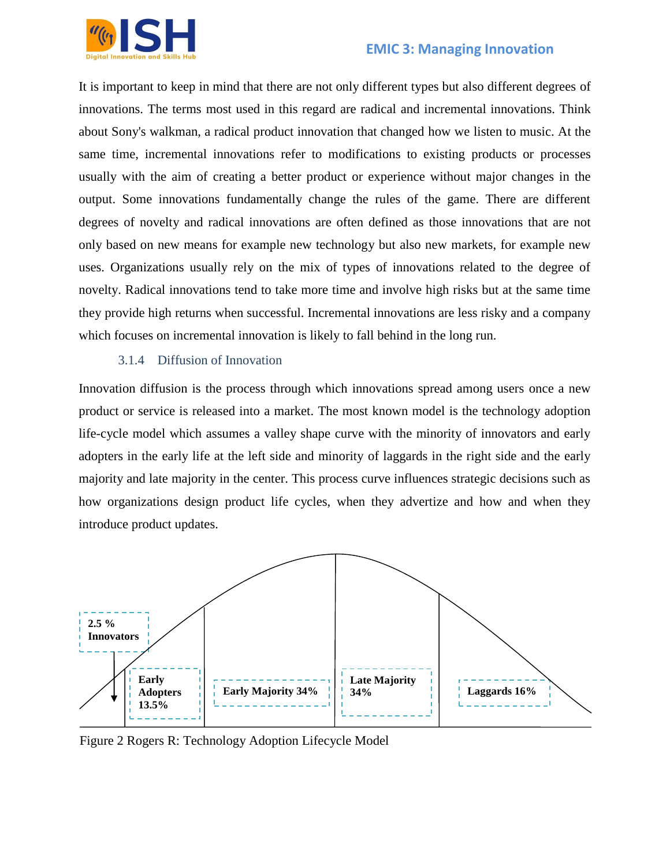

It is important to keep in mind that there are not only different types but also different degrees of innovations. The terms most used in this regard are radical and incremental innovations. Think about Sony's walkman, a radical product innovation that changed how we listen to music. At the same time, incremental innovations refer to modifications to existing products or processes usually with the aim of creating a better product or experience without major changes in the output. Some innovations fundamentally change the rules of the game. There are different degrees of novelty and radical innovations are often defined as those innovations that are not only based on new means for example new technology but also new markets, for example new uses. Organizations usually rely on the mix of types of innovations related to the degree of novelty. Radical innovations tend to take more time and involve high risks but at the same time they provide high returns when successful. Incremental innovations are less risky and a company which focuses on incremental innovation is likely to fall behind in the long run.

#### 3.1.4 Diffusion of Innovation

Innovation diffusion is the process through which innovations spread among users once a new product or service is released into a market. The most known model is the technology adoption life-cycle model which assumes a valley shape curve with the minority of innovators and early adopters in the early life at the left side and minority of laggards in the right side and the early majority and late majority in the center. This process curve influences strategic decisions such as how organizations design product life cycles, when they advertize and how and when they introduce product updates.



Figure 2 Rogers R: Technology Adoption Lifecycle Model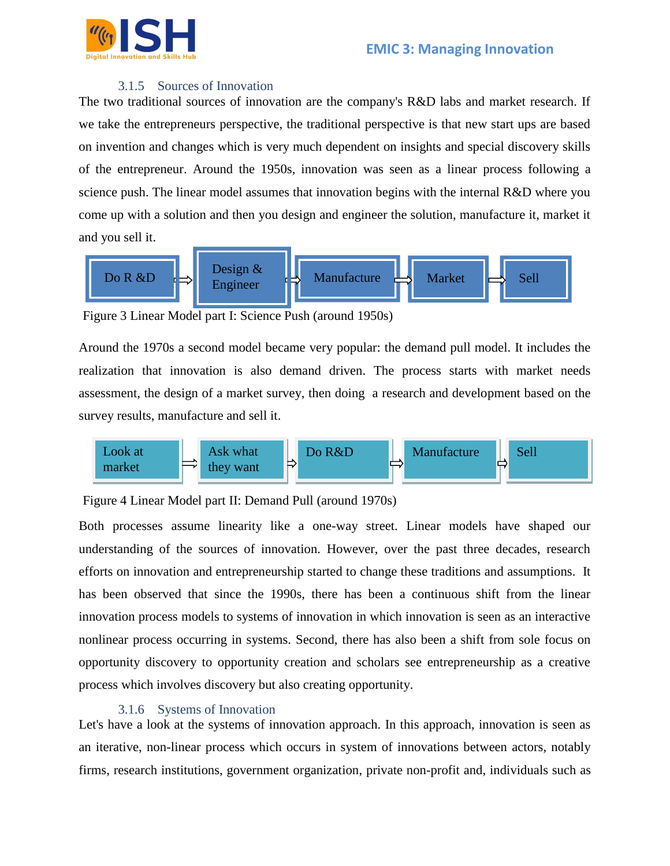

#### 3.1.5 Sources of Innovation

The two traditional sources of innovation are the company's R&D labs and market research. If we take the entrepreneurs perspective, the traditional perspective is that new start ups are based on invention and changes which is very much dependent on insights and special discovery skills of the entrepreneur. Around the 1950s, innovation was seen as a linear process following a science push. The linear model assumes that innovation begins with the internal R&D where you come up with a solution and then you design and engineer the solution, manufacture it, market it and you sell it.



Figure 3 Linear Model part I: Science Push (around 1950s)

Around the 1970s a second model became very popular: the demand pull model. It includes the realization that innovation is also demand driven. The process starts with market needs assessment, the design of a market survey, then doing a research and development based on the survey results, manufacture and sell it.



#### Figure 4 Linear Model part II: Demand Pull (around 1970s)

Both processes assume linearity like a one-way street. Linear models have shaped our understanding of the sources of innovation. However, over the past three decades, research efforts on innovation and entrepreneurship started to change these traditions and assumptions. It has been observed that since the 1990s, there has been a continuous shift from the linear innovation process models to systems of innovation in which innovation is seen as an interactive nonlinear process occurring in systems. Second, there has also been a shift from sole focus on opportunity discovery to opportunity creation and scholars see entrepreneurship as a creative process which involves discovery but also creating opportunity.

#### 3.1.6 Systems of Innovation

Let's have a look at the systems of innovation approach. In this approach, innovation is seen as an iterative, non-linear process which occurs in system of innovations between actors, notably firms, research institutions, government organization, private non-profit and, individuals such as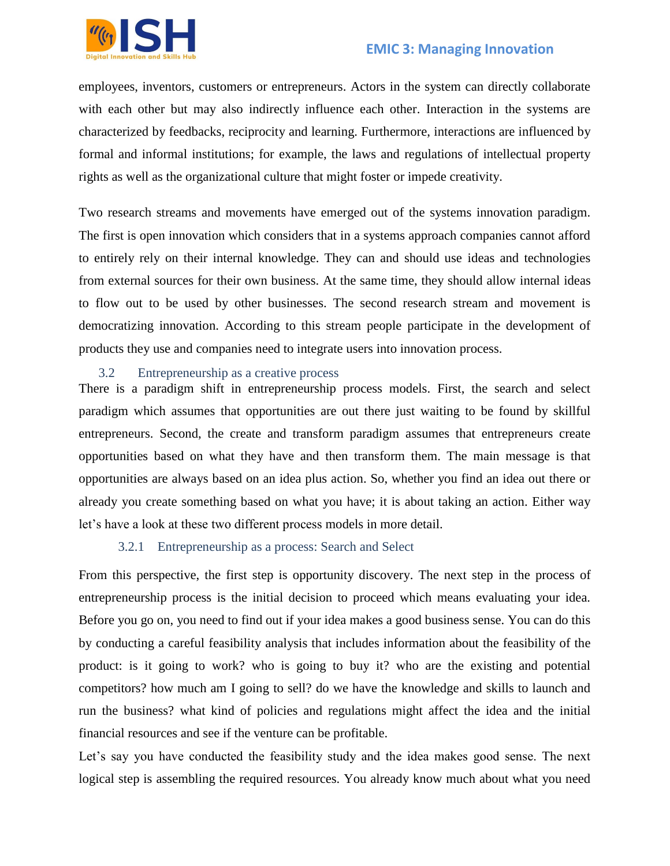

employees, inventors, customers or entrepreneurs. Actors in the system can directly collaborate with each other but may also indirectly influence each other. Interaction in the systems are characterized by feedbacks, reciprocity and learning. Furthermore, interactions are influenced by formal and informal institutions; for example, the laws and regulations of intellectual property rights as well as the organizational culture that might foster or impede creativity.

Two research streams and movements have emerged out of the systems innovation paradigm. The first is open innovation which considers that in a systems approach companies cannot afford to entirely rely on their internal knowledge. They can and should use ideas and technologies from external sources for their own business. At the same time, they should allow internal ideas to flow out to be used by other businesses. The second research stream and movement is democratizing innovation. According to this stream people participate in the development of products they use and companies need to integrate users into innovation process.

#### 3.2 Entrepreneurship as a creative process

There is a paradigm shift in entrepreneurship process models. First, the search and select paradigm which assumes that opportunities are out there just waiting to be found by skillful entrepreneurs. Second, the create and transform paradigm assumes that entrepreneurs create opportunities based on what they have and then transform them. The main message is that opportunities are always based on an idea plus action. So, whether you find an idea out there or already you create something based on what you have; it is about taking an action. Either way let's have a look at these two different process models in more detail.

#### 3.2.1 Entrepreneurship as a process: Search and Select

From this perspective, the first step is opportunity discovery. The next step in the process of entrepreneurship process is the initial decision to proceed which means evaluating your idea. Before you go on, you need to find out if your idea makes a good business sense. You can do this by conducting a careful feasibility analysis that includes information about the feasibility of the product: is it going to work? who is going to buy it? who are the existing and potential competitors? how much am I going to sell? do we have the knowledge and skills to launch and run the business? what kind of policies and regulations might affect the idea and the initial financial resources and see if the venture can be profitable.

Let's say you have conducted the feasibility study and the idea makes good sense. The next logical step is assembling the required resources. You already know much about what you need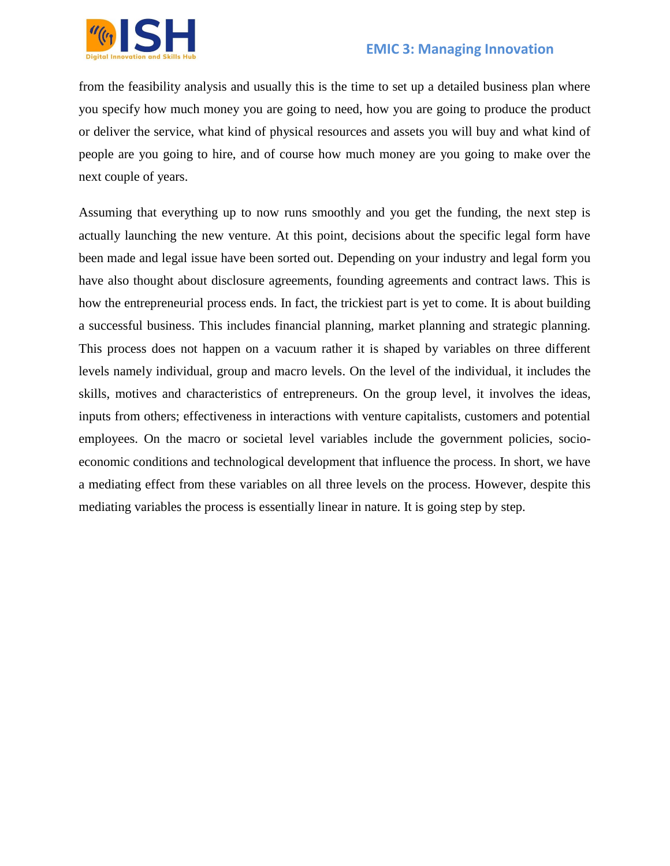

from the feasibility analysis and usually this is the time to set up a detailed business plan where you specify how much money you are going to need, how you are going to produce the product or deliver the service, what kind of physical resources and assets you will buy and what kind of people are you going to hire, and of course how much money are you going to make over the next couple of years.

Assuming that everything up to now runs smoothly and you get the funding, the next step is actually launching the new venture. At this point, decisions about the specific legal form have been made and legal issue have been sorted out. Depending on your industry and legal form you have also thought about disclosure agreements, founding agreements and contract laws. This is how the entrepreneurial process ends. In fact, the trickiest part is yet to come. It is about building a successful business. This includes financial planning, market planning and strategic planning. This process does not happen on a vacuum rather it is shaped by variables on three different levels namely individual, group and macro levels. On the level of the individual, it includes the skills, motives and characteristics of entrepreneurs. On the group level, it involves the ideas, inputs from others; effectiveness in interactions with venture capitalists, customers and potential employees. On the macro or societal level variables include the government policies, socioeconomic conditions and technological development that influence the process. In short, we have a mediating effect from these variables on all three levels on the process. However, despite this mediating variables the process is essentially linear in nature. It is going step by step.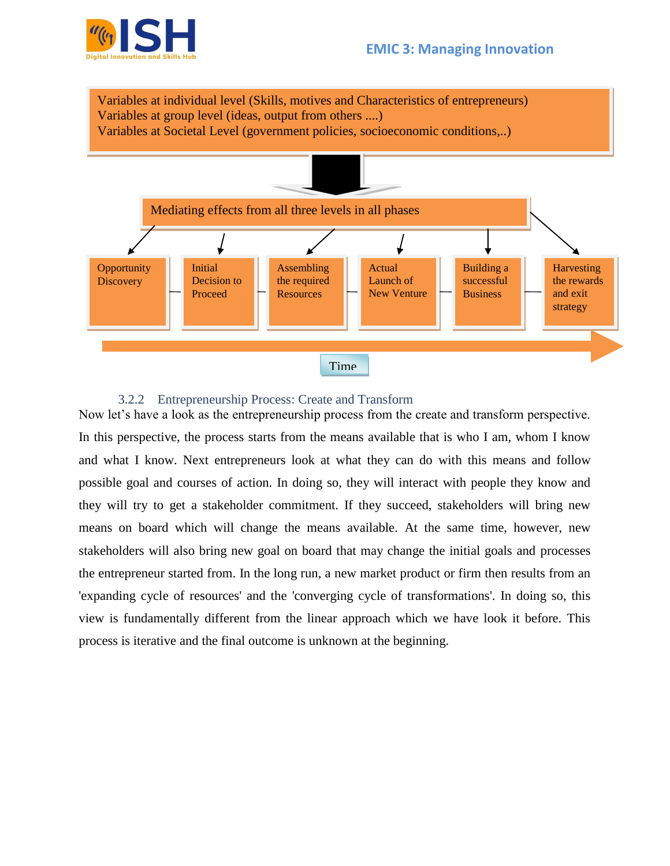#### **EMIC 3: Managing Innovation**





#### 3.2.2 Entrepreneurship Process: Create and Transform

Now let's have a look as the entrepreneurship process from the create and transform perspective. In this perspective, the process starts from the means available that is who I am, whom I know and what I know. Next entrepreneurs look at what they can do with this means and follow possible goal and courses of action. In doing so, they will interact with people they know and they will try to get a stakeholder commitment. If they succeed, stakeholders will bring new means on board which will change the means available. At the same time, however, new stakeholders will also bring new goal on board that may change the initial goals and processes the entrepreneur started from. In the long run, a new market product or firm then results from an 'expanding cycle of resources' and the 'converging cycle of transformations'. In doing so, this view is fundamentally different from the linear approach which we have look it before. This process is iterative and the final outcome is unknown at the beginning.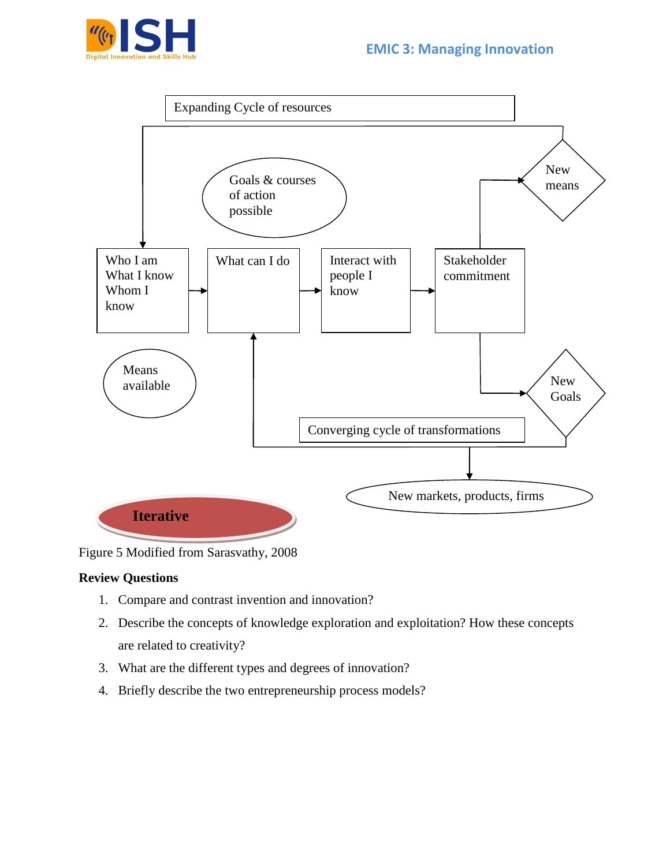





Figure 5 Modified from Sarasvathy, 2008

#### **Review Questions**

- 1. Compare and contrast invention and innovation?
- 2. Describe the concepts of knowledge exploration and exploitation? How these concepts are related to creativity?
- 3. What are the different types and degrees of innovation?
- 4. Briefly describe the two entrepreneurship process models?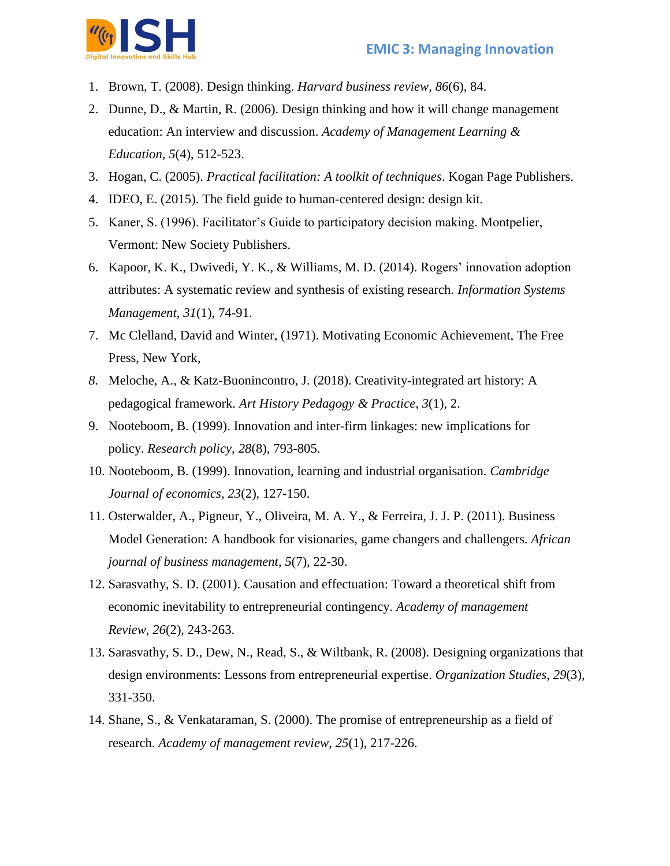

- 1. Brown, T. (2008). Design thinking. *Harvard business review*, *86*(6), 84.
- 2. Dunne, D., & Martin, R. (2006). Design thinking and how it will change management education: An interview and discussion. *Academy of Management Learning & Education*, *5*(4), 512-523.
- 3. Hogan, C. (2005). *Practical facilitation: A toolkit of techniques*. Kogan Page Publishers.
- 4. IDEO, E. (2015). The field guide to human-centered design: design kit.
- 5. Kaner, S. (1996). Facilitator's Guide to participatory decision making. Montpelier, Vermont: New Society Publishers.
- 6. Kapoor, K. K., Dwivedi, Y. K., & Williams, M. D. (2014). Rogers' innovation adoption attributes: A systematic review and synthesis of existing research. *Information Systems Management*, *31*(1), 74-91.
- 7. Mc Clelland, David and Winter, (1971). Motivating Economic Achievement, The Free Press, New York,
- *8.* Meloche, A., & Katz-Buonincontro, J. (2018). Creativity-integrated art history: A pedagogical framework. *Art History Pedagogy & Practice*, *3*(1), 2.
- 9. Nooteboom, B. (1999). Innovation and inter-firm linkages: new implications for policy. *Research policy*, *28*(8), 793-805.
- 10. Nooteboom, B. (1999). Innovation, learning and industrial organisation. *Cambridge Journal of economics*, *23*(2), 127-150.
- 11. Osterwalder, A., Pigneur, Y., Oliveira, M. A. Y., & Ferreira, J. J. P. (2011). Business Model Generation: A handbook for visionaries, game changers and challengers. *African journal of business management*, *5*(7), 22-30.
- 12. Sarasvathy, S. D. (2001). Causation and effectuation: Toward a theoretical shift from economic inevitability to entrepreneurial contingency. *Academy of management Review*, *26*(2), 243-263.
- 13. Sarasvathy, S. D., Dew, N., Read, S., & Wiltbank, R. (2008). Designing organizations that design environments: Lessons from entrepreneurial expertise. *Organization Studies*, *29*(3), 331-350.
- 14. Shane, S., & Venkataraman, S. (2000). The promise of entrepreneurship as a field of research. *Academy of management review*, *25*(1), 217-226.